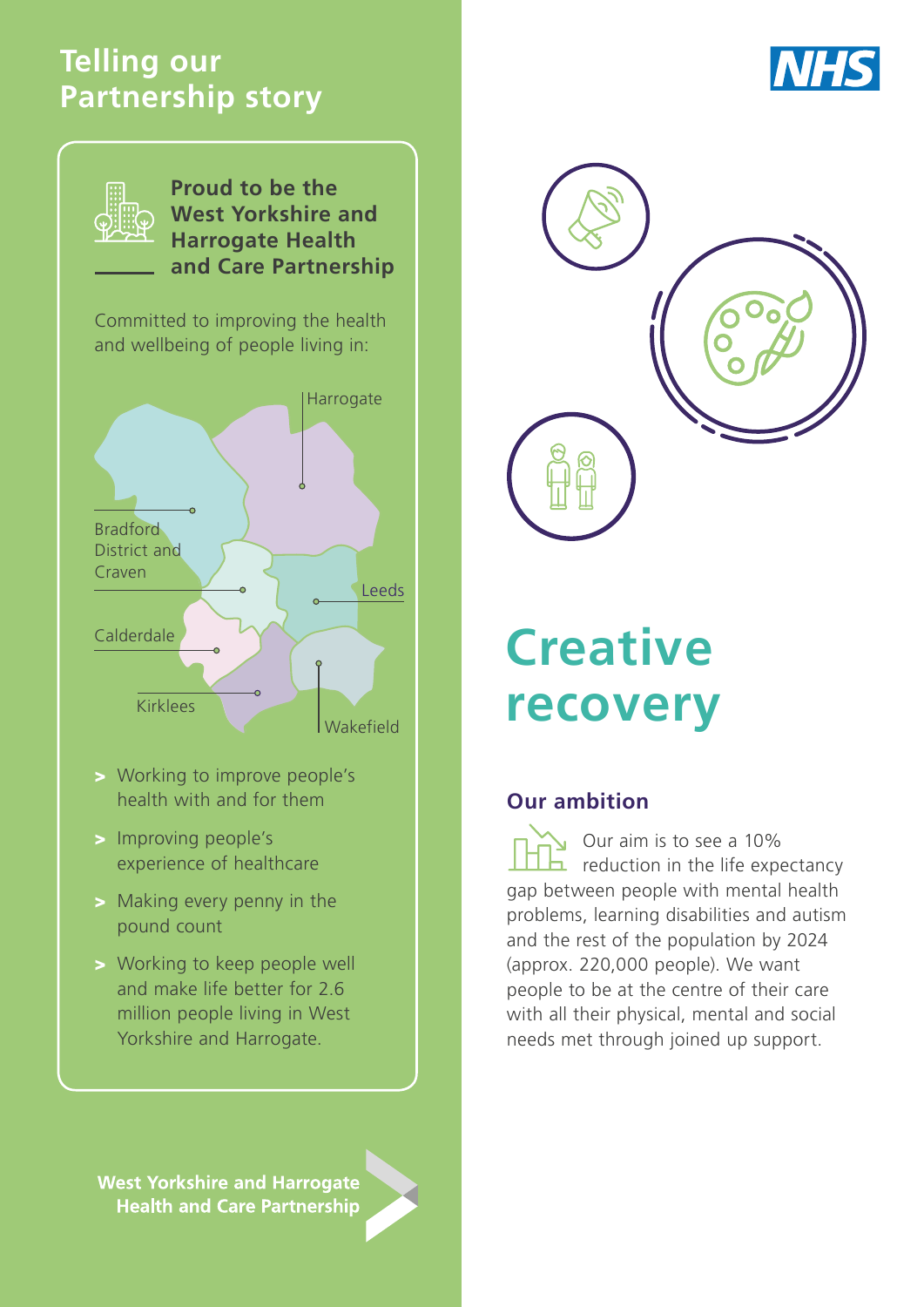# **Telling our Partnership story**





**Proud to be the West Yorkshire and Harrogate Health and Care Partnership**

Committed to improving the health and wellbeing of people living in:



- > Working to improve people's health with and for them
- > Improving people's experience of healthcare
- > Making every penny in the pound count
- > Working to keep people well and make life better for 2.6 million people living in West Yorkshire and Harrogate.

**West Yorkshire and Harrogate Health and Care Partnership** 



# **Creative recovery**

## **Our ambition**

Our aim is to see a 10%  $\Box$  reduction in the life expectancy gap between people with mental health problems, learning disabilities and autism and the rest of the population by 2024 (approx. 220,000 people). We want people to be at the centre of their care with all their physical, mental and social needs met through joined up support.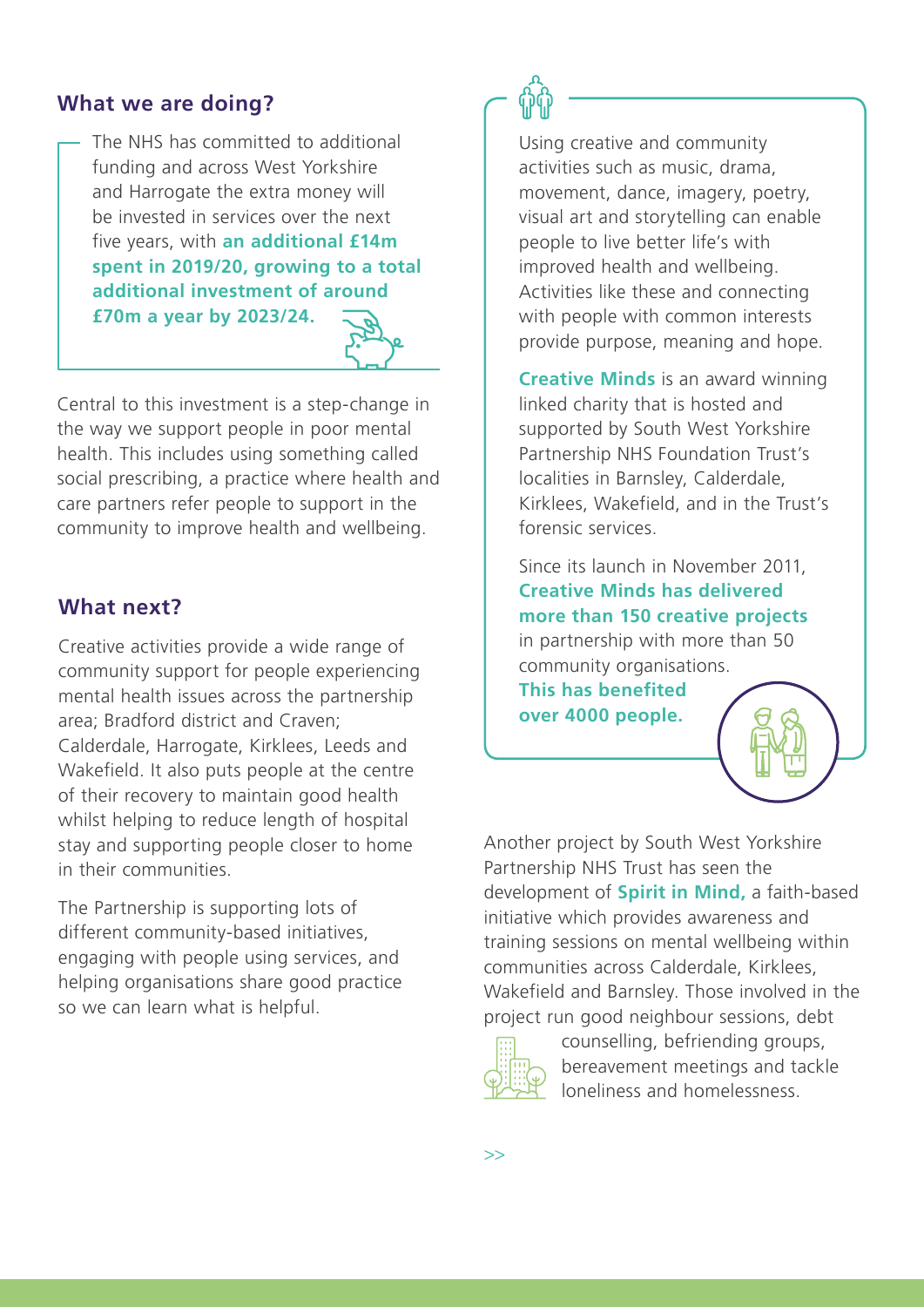#### **What we are doing?**

The NHS has committed to additional funding and across West Yorkshire and Harrogate the extra money will be invested in services over the next five years, with **an additional £14m spent in 2019/20, growing to a total additional investment of around �70m a year by 2023/24.** 



Central to this investment is a step-change in the way we support people in poor mental health. This includes using something called social prescribing, a practice where health and care partners refer people to support in the community to improve health and wellbeing.

### **What next?**

Creative activities provide a wide range of community support for people experiencing mental health issues across the partnership area; Bradford district and Craven; Calderdale, Harrogate, Kirklees, Leeds and Wakefield. It also puts people at the centre of their recovery to maintain good health whilst helping to reduce length of hospital stay and supporting people closer to home in their communities.

The Partnership is supporting lots of different community-based initiatives, engaging with people using services, and helping organisations share good practice so we can learn what is helpful.



Using creative and community activities such as music, drama, movement, dance, imagery, poetry, visual art and storytelling can enable people to live better life's with improved health and wellbeing. Activities like these and connecting with people with common interests provide purpose, meaning and hope.

**[Creative Minds](https://www.southwestyorkshire.nhs.uk/creative-minds/home/)** is an award winning linked charity that is hosted and supported by South West Yorkshire Partnership NHS Foundation Trust's localities in Barnsley, Calderdale, Kirklees, Wakefield, and in the Trust's forensic services.

Since its launch in November 2011, **Creative Minds has delivered more than 150 creative projects** in partnership with more than 50 community organisations.

**This has benefited over 4000 people.**

Another project by South West Yorkshire Partnership NHS Trust has seen the development of **Spirit in Mind,** a faith-based initiative which provides awareness and training sessions on mental wellbeing within communities across Calderdale, Kirklees, Wakefield and Barnsley. Those involved in the project run good neighbour sessions, debt



counselling, befriending groups, bereavement meetings and tackle loneliness and homelessness.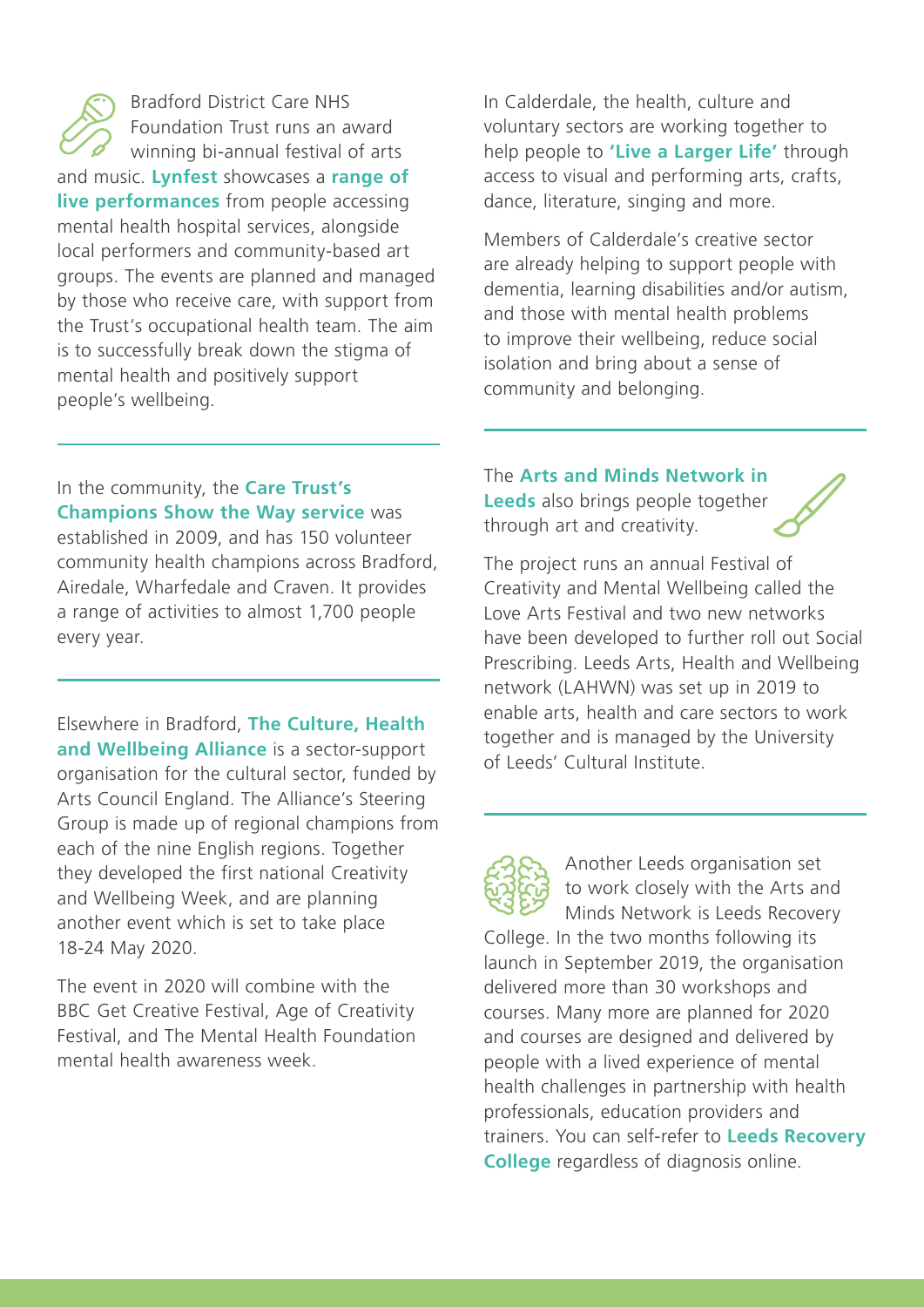Bradford District Care NHS Foundation Trust runs an award winning bi-annual festival of arts and music. **[Lynfest](https://www.bdct.nhs.uk/award-winning-festival-hits-all-the-right-notes-with-patients/)** showcases a **[range of](https://vimeo.com/342968702/564e1d31ea)  [live performances](https://vimeo.com/342968702/564e1d31ea)** from people accessing mental health hospital services, alongside local performers and community-based art groups. The events are planned and managed by those who receive care, with support from the Trust's occupational health team. The aim is to successfully break down the stigma of mental health and positively support people's wellbeing.

In Calderdale, the health, culture and voluntary sectors are working together to help people to **['Live a Larger Life'](https://www.calderdale.gov.uk/nweb/COUNCIL.minutes_pkg.view_doc?p_Type=AR&p_ID=69687)** through access to visual and performing arts, crafts, dance, literature, singing and more.

Members of Calderdale's creative sector are already helping to support people with dementia, learning disabilities and/or autism, and those with mental health problems to improve their wellbeing, reduce social isolation and bring about a sense of community and belonging.

In the community, the **[Care Trust's](https://vimeo.com/323232292/fbf63533a3)  [Champions Show the Way service](https://vimeo.com/323232292/fbf63533a3)** was established in 2009, and has 150 volunteer community health champions across Bradford, Airedale, Wharfedale and Craven. It provides a range of activities to almost 1,700 people every year.

Elsewhere in Bradford, **[The Culture, Health](https://www.culturehealthandwellbeing.org.uk/)  [and Wellbeing Alliance](https://www.culturehealthandwellbeing.org.uk/)** is a sector-support organisation for the cultural sector, funded by Arts Council England. The Alliance's Steering Group is made up of regional champions from each of the nine English regions. Together they developed the first national Creativity and Wellbeing Week, and are planning another event which is set to take place 18-24 May 2020.

The event in 2020 will combine with the BBC Get Creative Festival, Age of Creativity Festival, and The Mental Health Foundation mental health awareness week.

The **[Arts and Minds Network in](https://artsandmindsnetwork.org.uk/)  [Leeds](https://artsandmindsnetwork.org.uk/)** also brings people together through art and creativity.

The project runs an annual Festival of Creativity and Mental Wellbeing called the Love Arts Festival and two new networks have been developed to further roll out Social Prescribing. Leeds Arts, Health and Wellbeing network (LAHWN) was set up in 2019 to enable arts, health and care sectors to work together and is managed by the University of Leeds' Cultural Institute.

Another Leeds organisation set to work closely with the Arts and Minds Network is Leeds Recovery

College. In the two months following its launch in September 2019, the organisation delivered more than 30 workshops and courses. Many more are planned for 2020 and courses are designed and delivered by people with a lived experience of mental health challenges in partnership with health professionals, education providers and trainers. You can self-refer to **[Leeds Recovery](https://www.leedsandyorkpft.nhs.uk/advice-support/leeds-recovery-college/) [College](https://www.leedsandyorkpft.nhs.uk/advice-support/leeds-recovery-college/)** regardless of diagnosis online.